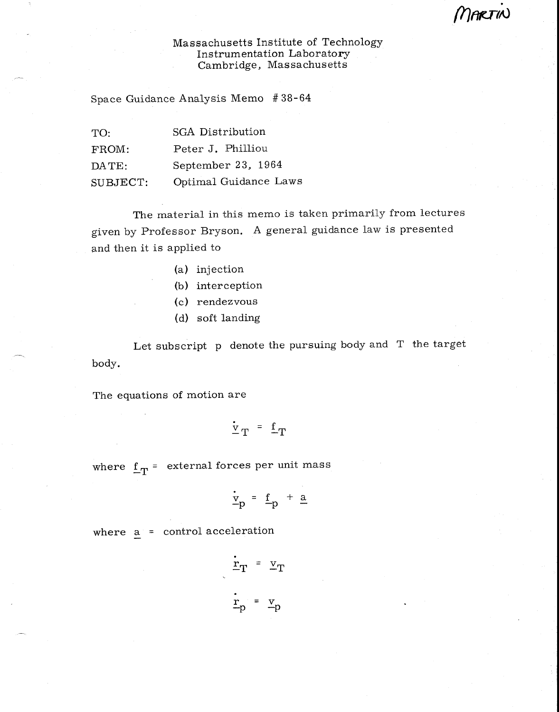MARTIN

## Massachusetts Institute of Technology Instrumentation Laboratory Cambridge, Massachusetts

Space Guidance Analysis Memo # 38-64

| TO:      | <b>SGA Distribution</b> |
|----------|-------------------------|
| FROM:    | Peter J. Philliou       |
| DATE:    | September 23, 1964      |
| SUBJECT: | Optimal Guidance Laws   |

The material in this memo is taken primarily from lectures given by Professor Bryson. A general guidance law is presented and then it is applied to

- (a) injection
- (b) interception
- (c) rendezvous
- (d) soft landing

Let subscript p denote the pursuing body and T the target body.

The equations of motion are

$$
\frac{\dot{v}}{T} = f_T
$$

where  $f_T =$  external forces per unit mass

$$
\frac{\dot{v}}{-p} = f_p + \underline{a}
$$

where  $a =$  control acceleration

$$
\frac{\dot{\mathbf{r}}}{\mathbf{T}} = \mathbf{v}_{\mathbf{T}}
$$
\n
$$
\frac{\dot{\mathbf{r}}}{\mathbf{p}} = \mathbf{v}_{\mathbf{p}}
$$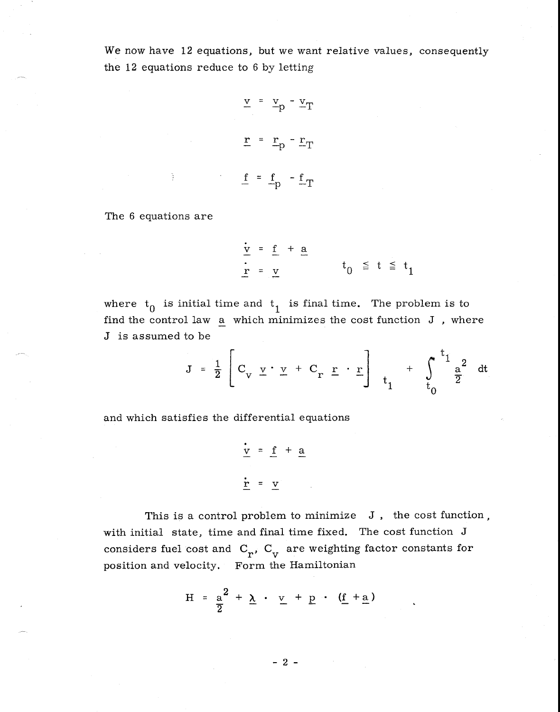We now have 12 equations, but we want relative values, consequently the 12 equations reduce to 6 by letting

$$
\underline{v} = \underline{v}_p - \underline{v}_T
$$
  

$$
\underline{r} = \underline{r}_p - \underline{r}_T
$$
  

$$
\underline{f} = \underline{f}_p - \underline{f}_T
$$

The 6 equations are

$$
\frac{\dot{v}}{r} = \frac{f}{v} + \frac{a}{v}
$$
\n
$$
t_0 \leq t \leq t_1
$$

where  $t_0$  is initial time and  $t_1$  is final time. The problem is to find the control law a which minimizes the cost function J , where J is assumed to be

$$
J = \frac{1}{2} \left[ C_v \underline{v} \cdot \underline{v} + C_r \underline{r} \cdot \underline{r} \right]_{t_1} + \int_0^{t_1} \frac{a^2}{2} dt
$$

and which satisfies the differential equations

$$
\frac{v}{\underline{v}} = \underline{f} + \underline{a}
$$
\n
$$
\frac{v}{\underline{r}} = \underline{v}
$$

This is a control problem to minimize J, the cost function, with initial state, time and final time fixed. The cost function J considers fuel cost and  $C_r$ ,  $C_v$  are weighting factor constants for position and velocity. Form the Hamiltonian

$$
H = \frac{a^2}{2} + \underline{\lambda} \cdot \underline{v} + \underline{p} \cdot (\underline{f} + \underline{a})
$$

- 2 -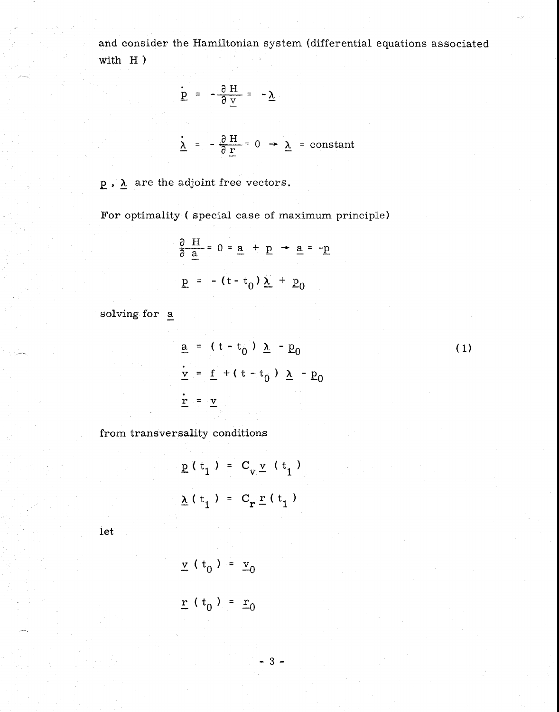and consider the Hamiltonian system (differential equations associated with H )

$$
Q = -\frac{\partial H}{\partial y} = -\underline{\lambda}
$$

$$
\frac{\lambda}{\lambda} = -\frac{\partial H}{\partial r} = 0 \rightarrow \lambda = \text{constant}
$$

 $\underline{p}$ ,  $\underline{\lambda}$  are the adjoint free vectors.

For optimality ( special case of maximum principle)

$$
\frac{\partial H}{\partial a} = 0 = \underline{a} + \underline{p} \rightarrow \underline{a} = -\underline{p}
$$

$$
\underline{p} = -(t - t_0) \underline{\lambda} + \underline{p}_0
$$

solving for a

$$
\underline{\mathbf{a}} = (\mathbf{t} - \mathbf{t}_0) \underline{\lambda} - \underline{\mathbf{p}}_0
$$
  
\n
$$
\underline{\mathbf{v}} = \underline{\mathbf{f}} + (\mathbf{t} - \mathbf{t}_0) \underline{\lambda} - \underline{\mathbf{p}}_0
$$
  
\n
$$
\underline{\mathbf{r}} = \underline{\mathbf{v}}
$$
 (1)

from transversality conditions

$$
\underline{p}(t_1) = C_v \underline{v}(t_1)
$$
  

$$
\underline{\lambda}(t_1) = C_r \underline{r}(t_1)
$$

let

$$
\underline{v} (t_0) = \underline{v}_0
$$
  

$$
\underline{r} (t_0) = \underline{r}_0
$$

 $3 -$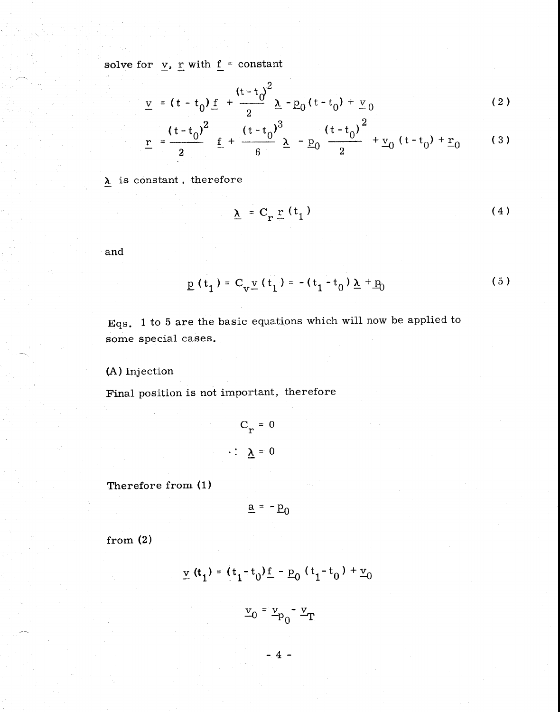solve for  $\underline{v}$ , <u>r</u> with <u>f</u> = constant

$$
\underline{v} = (t - t_0) \underline{f} + \frac{(t - t_0)^2}{2} \underline{\lambda} - \underline{p}_0 (t - t_0) + \underline{v}_0
$$
 (2)

$$
\underline{\mathbf{r}} = \frac{(t - t_0)^2}{2} \underline{\mathbf{f}} + \frac{(t - t_0)^3}{6} \underline{\lambda} - \underline{\mathbf{p}}_0 \frac{(t - t_0)^2}{2} + \underline{\mathbf{v}}_0 (t - t_0) + \underline{\mathbf{r}}_0 \qquad (3)
$$

 $\lambda$  is constant, therefore

$$
\underline{\lambda} = C_{r} \underline{r} (t_1) \tag{4}
$$

and

$$
\underline{p}(t_1) = C_v \underline{v}(t_1) = -(t_1 - t_0) \underline{\lambda} + \underline{p}_0
$$
 (5)

Eqs. 1 to 5 are the basic equations which will now be applied to some special cases.

(A) Injection

Final position is not important, therefore

$$
C_r = 0
$$
  

$$
\therefore \quad \underline{\lambda} = 0
$$

Therefore from (1)

$$
\underline{a} = -\underline{p}_0
$$

from (2)

$$
\underline{v}(t_1) = (t_1 - t_0)\underline{f} - \underline{p}_0 (t_1 - t_0) + \underline{v}_0
$$

$$
\underline{\mathbf{v}}_0 = \underline{\mathbf{v}}_{\mathbf{p}_0} - \underline{\mathbf{v}}_{\mathbf{T}_0}
$$

 $-4-$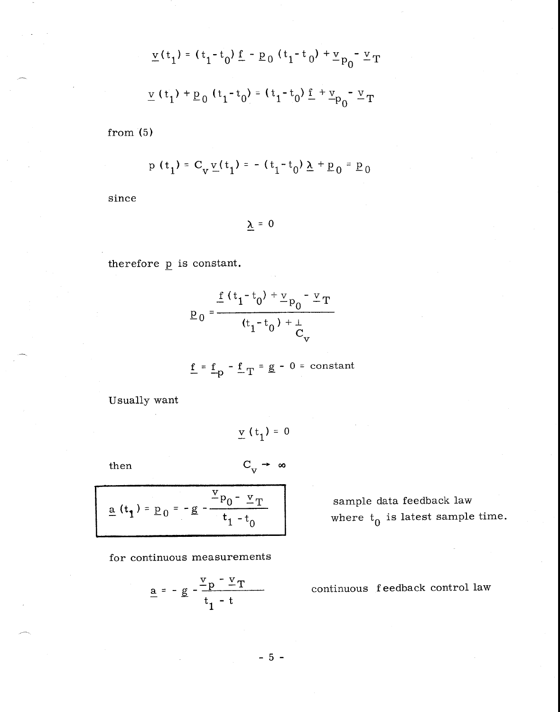$$
\underline{v}(t_1) = (t_1 - t_0) \underline{f} - \underline{p}_0 (t_1 - t_0) + \underline{v}_{p_0} - \underline{v}_T
$$
  

$$
\underline{v}(t_1) + \underline{p}_0 (t_1 - t_0) = (t_1 - t_0) \underline{f} + \underline{v}_{p_0} - \underline{v}_T
$$

from (5)

$$
p(t_1) = C_v \underline{v}(t_1) = -(t_1 - t_0) \underline{\lambda} + \underline{p}_0 = \underline{p}_0
$$

since

 $\underline{\lambda} = 0$ 

therefore  $p$  is constant.

$$
p_0 = \frac{\frac{f(t_1 - t_0) + v_{p_0} - v_T}{t_1 - t_0 + v_{p_0}}}{\frac{v_{p_0}}{t_1 - t_0} + v_{p_0}}}{C_v}
$$

$$
\underline{f} = \underline{f}_p - \underline{f}_T = \underline{g} - 0 = constant
$$

Usually want

$$
\underline{\mathbf{v}}\,\,(\,\mathbf{t}_1\,) =\, 0
$$

 $C_v \rightarrow \infty$ 

then

$$
\frac{a(t_1) = p_0 = -g - \frac{v_{p_0} - v_T}{t_1 - t_0}}
$$

for continuous measurements

$$
\underline{a} = -\underline{g} - \frac{\underline{v}_p - \underline{v}_T}{t_1 - t}
$$

sample data feedback law where  $\mathbf{t}_{0}$  is latest sample time.

continuous feedback control law

 $-5 -$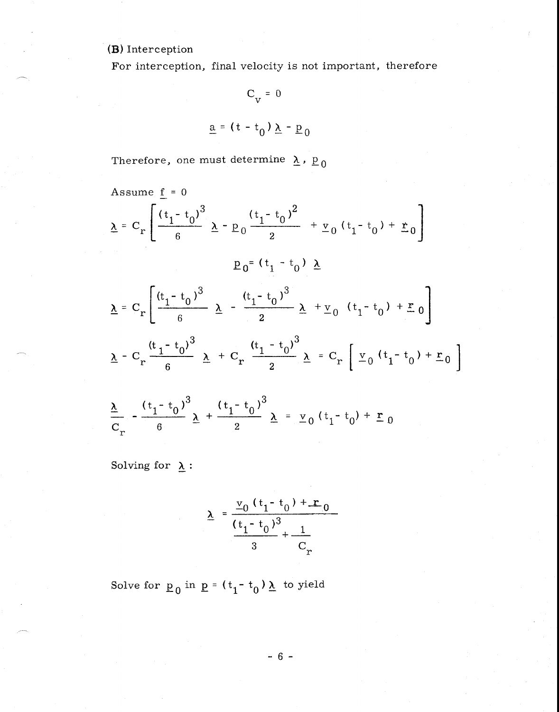## (B) Interception

For interception, final velocity is not important, therefore

 $C_{V} = 0$  $\underline{a} = (t - t_0) \underline{\lambda} - \underline{p}_0$ 

Therefore, one must determine  $\lambda$ ,  $p_0$ 

Assume 
$$
\underline{f} = 0
$$
  
\n $\underline{\lambda} = C_r \left[ \frac{(t_1 - t_0)^3}{6} \underline{\lambda} - p_0 \frac{(t_1 - t_0)^2}{2} + \underline{v}_0 (t_1 - t_0) + \underline{r}_0 \right]$   
\n $p_0 = (t_1 - t_0) \underline{\lambda}$   
\n $\underline{\lambda} = C_r \left[ \frac{(t_1 - t_0)^3}{6} \underline{\lambda} - \frac{(t_1 - t_0)^3}{2} \underline{\lambda} + \underline{v}_0 (t_1 - t_0) + \underline{r}_0 \right]$   
\n $\underline{\lambda} - C_r \frac{(t_1 - t_0)^3}{6} \underline{\lambda} + C_r \frac{(t_1 - t_0)^3}{2} \underline{\lambda} = C_r \left[ \underline{v}_0 (t_1 - t_0) + \underline{r}_0 \right]$   
\n $\frac{\underline{\lambda}}{2} - \frac{(t_1 - t_0)^3}{6} \underline{\lambda} + \frac{(t_1 - t_0)^3}{2} \underline{\lambda} = \underline{v}_0 (t_1 - t_0) + \underline{r}_0$ 

Solving for  $\underline{\lambda}$  :

 $C_r$  6 2

$$
\underline{\lambda} = \frac{\underline{v}_0 (t_1 - t_0) + \underline{r}_0}{\frac{(t_1 - t_0)^3}{3} + \frac{1}{C_r}}
$$

Solve for  $\underline{p}_0$  in  $\underline{p} = (t_1 - t_0) \underline{\lambda}$  to yield

 $- 6 -$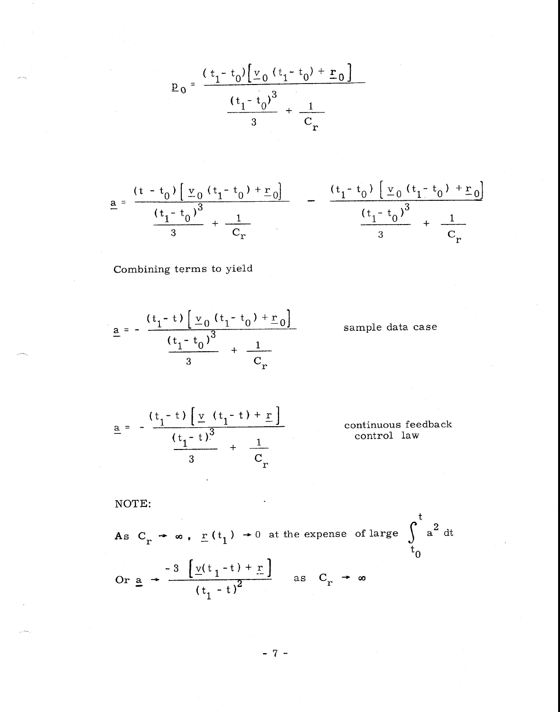$$
p_0 = \frac{(t_1 - t_0) \left[ \frac{v_0}{c_0} (t_1 - t_0) + \frac{r_0}{c_0} \right]}{(t_1 - t_0)^3} + \frac{1}{c_r}
$$

$$
\underline{a} = \frac{(t - t_0) [\underline{v}_0 (t_1 - t_0) + \underline{r}_0]}{(t_1 - t_0)^3} \quad - \quad \frac{(t_1 - t_0) [\underline{v}_0 (t_1 - t_0) + \underline{r}_0]}{(t_1 - t_0)^3} \quad + \quad \frac{(t_1 - t_0)}{3} \quad + \quad \frac{1}{C_r}
$$

Combining terms to yield

$$
\underline{a} = -\frac{(t_1 - t) \left[ \frac{v_0}{s_0} (t_1 - t_0) + \frac{r_0}{s_0} \right]}{(t_1 - t_0)^3} + \frac{1}{C_r}
$$

sample data case

$$
\underline{a} = -\frac{(t_1 - t) \left[ \underline{v} (t_1 - t) + \underline{r} \right]}{(t_1 - t)^3} + \frac{1}{C_r}
$$
 continuous feedback control law

1 control law

NOTE:  
\nAs 
$$
C_r \rightarrow \infty
$$
,  $\underline{r}(t_1) \rightarrow 0$  at the expense of large  $\int_0^t a^2 dt$   
\nOr  $\underline{a} \rightarrow \frac{-3 \left[ \underline{v}(t_1 - t) + \underline{r} \right]}{(t_1 - t)^2}$  as  $C_r \rightarrow \infty$ 

 $-7 -$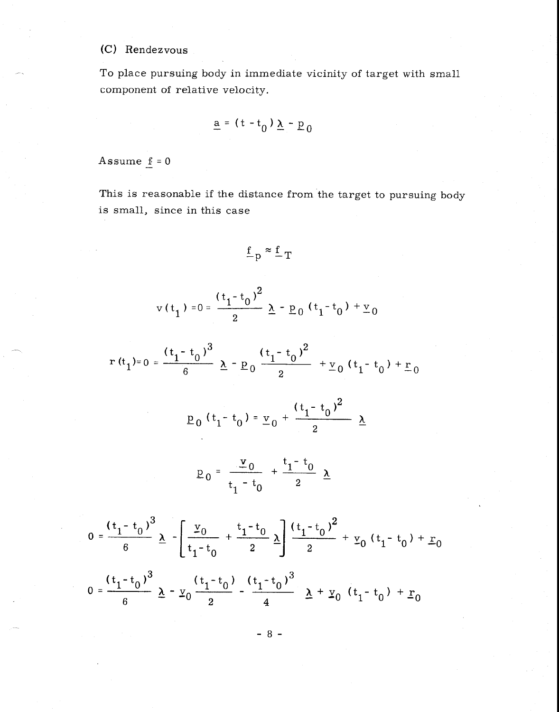## (C) Rendezvous

To place pursuing body in immediate vicinity of target with small component of relative velocity.

$$
\underline{a} = (t - t_0) \underline{\lambda} - \underline{p}_0
$$

Assume  $f = 0$ 

This is reasonable if the distance from the target to pursuing body is small, since in this case

$$
\underline{f}_{p} \approx \underline{f}_{T}
$$

$$
v(t_1) = 0 = \frac{(t_1 - t_0)^2}{2} \lambda - p_0 (t_1 - t_0) + v_0
$$

$$
r(t_1)=0=\frac{(t_1-t_0)^3}{6}\underline{\lambda}-\underline{p}_0\frac{(t_1-t_0)^2}{2}+\underline{v}_0(t_1-t_0)+\underline{r}_0
$$

$$
\underline{p}_0(t_1-t_0)=\underline{v}_0+\frac{(t_1-t_0)^2}{2}\underline{\lambda}
$$

$$
P_0 = \frac{v_0}{t_1 - t_0} + \frac{t_1 - t_0}{2} \underline{\lambda}
$$

$$
0 = \frac{(t_1 - t_0)^3}{6} \underline{\lambda} - \left[ \frac{\underline{v}_0}{t_1 - t_0} + \frac{t_1 - t_0}{2} \underline{\lambda} \right] \frac{(t_1 - t_0)^2}{2} + \underline{v}_0 (t_1 - t_0) + \underline{r}_0
$$
  

$$
0 = \frac{(t_1 - t_0)^3}{6} \underline{\lambda} - \underline{v}_0 \frac{(t_1 - t_0)}{2} - \frac{(t_1 - t_0)^3}{4} \underline{\lambda} + \underline{v}_0 (t_1 - t_0) + \underline{r}_0
$$

$$
-8 -
$$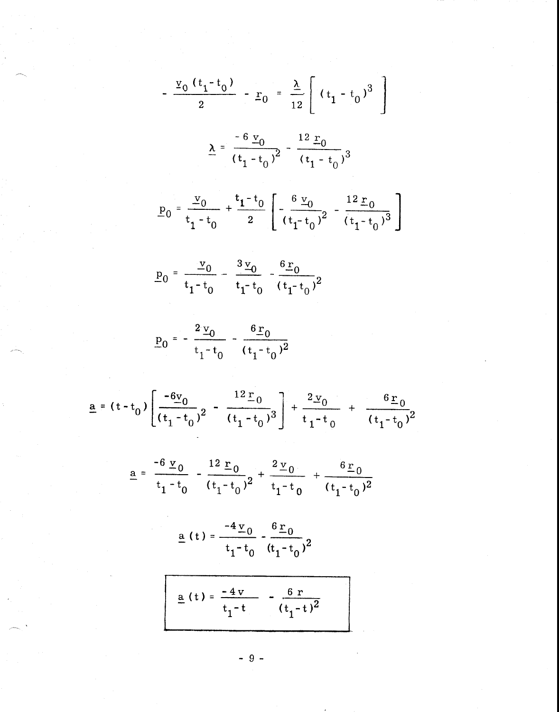$$
-\frac{v_0(t_1-t_0)}{2} - \underline{r}_0 = \frac{\underline{\lambda}}{12} \left[ (t_1 - t_0)^3 \right]
$$
  

$$
\underline{\lambda} = \frac{-6 \underline{v}_0}{(t_1 - t_0)^2} - \frac{12 \underline{r}_0}{(t_1 - t_0)^3}
$$
  

$$
\underline{p}_0 = \frac{v_0}{t_1 - t_0} + \frac{t_1 - t_0}{2} \left[ -\frac{6 \underline{v}_0}{(t_1 - t_0)^2} - \frac{12 \underline{r}_0}{(t_1 - t_0)^3} \right]
$$
  

$$
\underline{p}_0 = \frac{v_0}{t_1 - t_0} - \frac{3 \underline{v}_0}{t_1 - t_0} - \frac{6 \underline{r}_0}{(t_1 - t_0)^2}
$$
  

$$
\underline{p}_0 = -\frac{2 \underline{v}_0}{t_1 - t_0} - \frac{6 \underline{r}_0}{(t_1 - t_0)^2}
$$
  

$$
= (t - t_0) \left[ \frac{-6 \underline{v}_0}{(t_1 - t_0)^2} - \frac{12 \underline{r}_0}{(t_1 - t_0)^3} \right] + \frac{2 \underline{v}_0}{t_1 - t_0} + \frac{6 \underline{r}_0}{(t_1 - t_0)^2}
$$
  

$$
\underline{a} = \frac{-6 \underline{v}_0}{t_1 - t_0} - \frac{12 \underline{r}_0}{(t_1 - t_0)^2} + \frac{2 \underline{v}_0}{t_1 - t_0} + \frac{6 \underline{r}_0}{(t_1 - t_0)^2}
$$
  

$$
\underline{a} (t) = \frac{-4 \underline{v}_0}{t_1 - t_0} - \frac{6 \underline{r}_0}{(t_1 - t_0)^2}
$$
  

$$
\underline{a} (t) = \frac{-4 \underline{v}_0}{t_1 - t} - \frac{6 \underline{r}_0}{(t_1 - t)^2}
$$

 $\frac{a}{b}$ 

 $9 -$